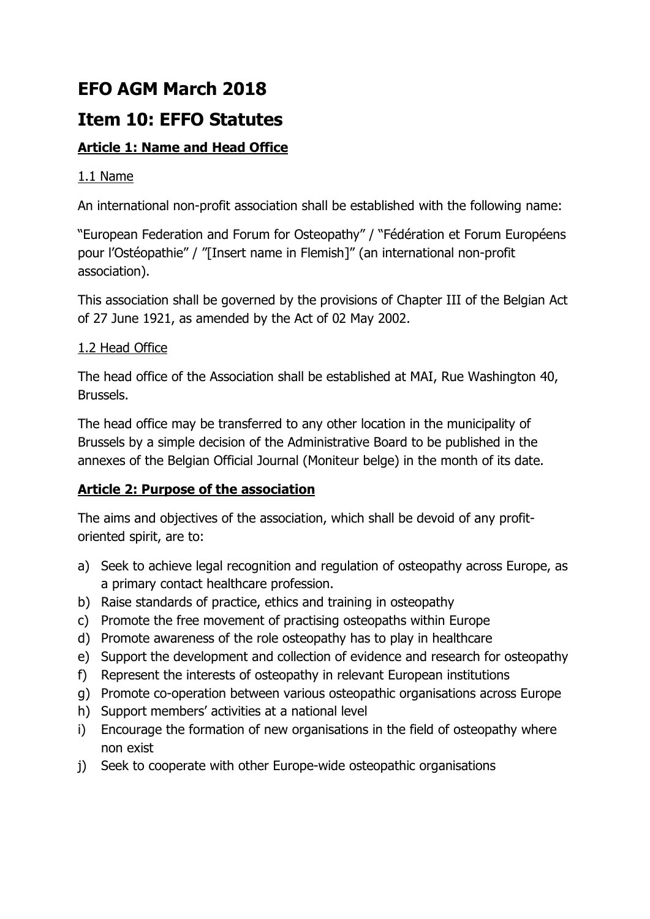# **EFO AGM March 2018**

# **Item 10: EFFO Statutes**

# **Article 1: Name and Head Office**

# 1.1 Name

An international non-profit association shall be established with the following name:

"European Federation and Forum for Osteopathy" / "Fédération et Forum Européens pour l'Ostéopathie" / "[Insert name in Flemish]" (an international non-profit association).

This association shall be governed by the provisions of Chapter III of the Belgian Act of 27 June 1921, as amended by the Act of 02 May 2002.

# 1.2 Head Office

The head office of the Association shall be established at MAI, Rue Washington 40, Brussels.

The head office may be transferred to any other location in the municipality of Brussels by a simple decision of the Administrative Board to be published in the annexes of the Belgian Official Journal (Moniteur belge) in the month of its date.

# **Article 2: Purpose of the association**

The aims and objectives of the association, which shall be devoid of any profitoriented spirit, are to:

- a) Seek to achieve legal recognition and regulation of osteopathy across Europe, as a primary contact healthcare profession.
- b) Raise standards of practice, ethics and training in osteopathy
- c) Promote the free movement of practising osteopaths within Europe
- d) Promote awareness of the role osteopathy has to play in healthcare
- e) Support the development and collection of evidence and research for osteopathy
- f) Represent the interests of osteopathy in relevant European institutions
- g) Promote co-operation between various osteopathic organisations across Europe
- h) Support members' activities at a national level
- i) Encourage the formation of new organisations in the field of osteopathy where non exist
- j) Seek to cooperate with other Europe-wide osteopathic organisations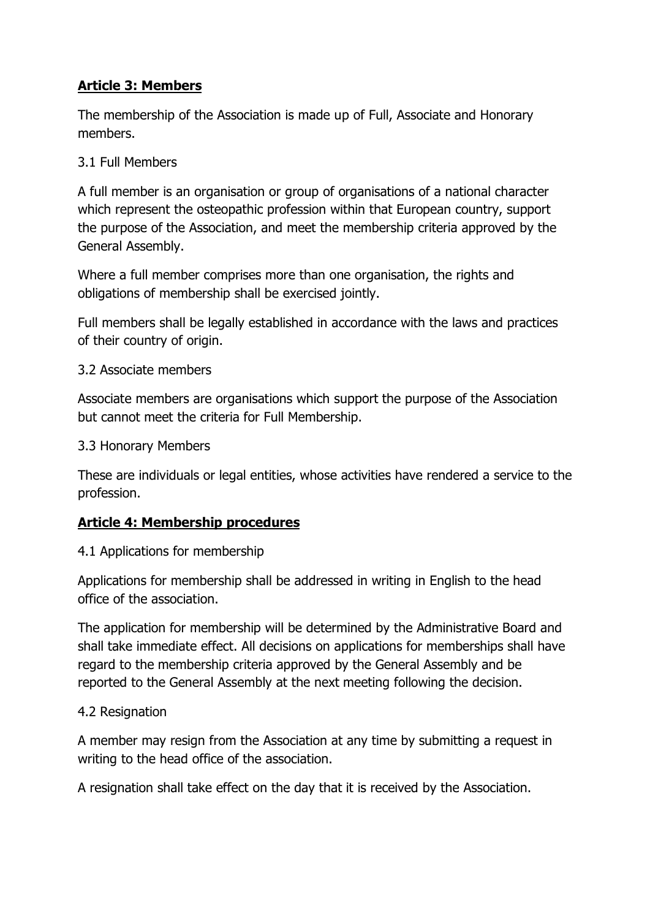# **Article 3: Members**

The membership of the Association is made up of Full, Associate and Honorary members.

### 3.1 Full Members

A full member is an organisation or group of organisations of a national character which represent the osteopathic profession within that European country, support the purpose of the Association, and meet the membership criteria approved by the General Assembly.

Where a full member comprises more than one organisation, the rights and obligations of membership shall be exercised jointly.

Full members shall be legally established in accordance with the laws and practices of their country of origin.

#### 3.2 Associate members

Associate members are organisations which support the purpose of the Association but cannot meet the criteria for Full Membership.

3.3 Honorary Members

These are individuals or legal entities, whose activities have rendered a service to the profession.

## **Article 4: Membership procedures**

4.1 Applications for membership

Applications for membership shall be addressed in writing in English to the head office of the association.

The application for membership will be determined by the Administrative Board and shall take immediate effect. All decisions on applications for memberships shall have regard to the membership criteria approved by the General Assembly and be reported to the General Assembly at the next meeting following the decision.

## 4.2 Resignation

A member may resign from the Association at any time by submitting a request in writing to the head office of the association.

A resignation shall take effect on the day that it is received by the Association.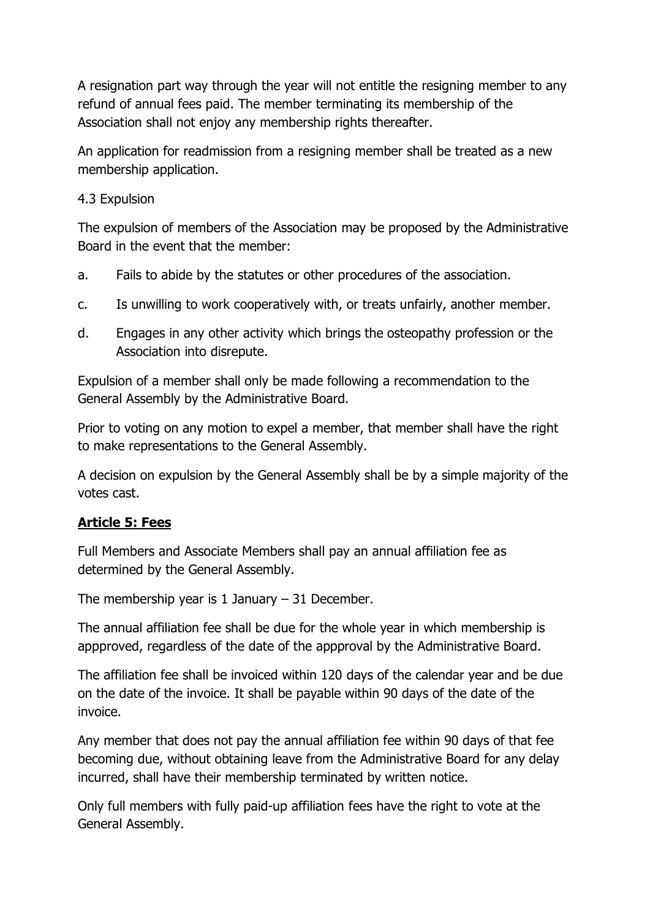A resignation part way through the year will not entitle the resigning member to any refund of annual fees paid. The member terminating its membership of the Association shall not enjoy any membership rights thereafter.

An application for readmission from a resigning member shall be treated as a new membership application.

#### 4.3 Expulsion

The expulsion of members of the Association may be proposed by the Administrative Board in the event that the member:

- a. Fails to abide by the statutes or other procedures of the association.
- c. Is unwilling to work cooperatively with, or treats unfairly, another member.
- d. Engages in any other activity which brings the osteopathy profession or the Association into disrepute.

Expulsion of a member shall only be made following a recommendation to the General Assembly by the Administrative Board.

Prior to voting on any motion to expel a member, that member shall have the right to make representations to the General Assembly.

A decision on expulsion by the General Assembly shall be by a simple majority of the votes cast.

## **Article 5: Fees**

Full Members and Associate Members shall pay an annual affiliation fee as determined by the General Assembly.

The membership year is  $1$  January  $-31$  December.

The annual affiliation fee shall be due for the whole year in which membership is appproved, regardless of the date of the appproval by the Administrative Board.

The affiliation fee shall be invoiced within 120 days of the calendar year and be due on the date of the invoice. It shall be payable within 90 days of the date of the invoice.

Any member that does not pay the annual affiliation fee within 90 days of that fee becoming due, without obtaining leave from the Administrative Board for any delay incurred, shall have their membership terminated by written notice.

Only full members with fully paid-up affiliation fees have the right to vote at the General Assembly.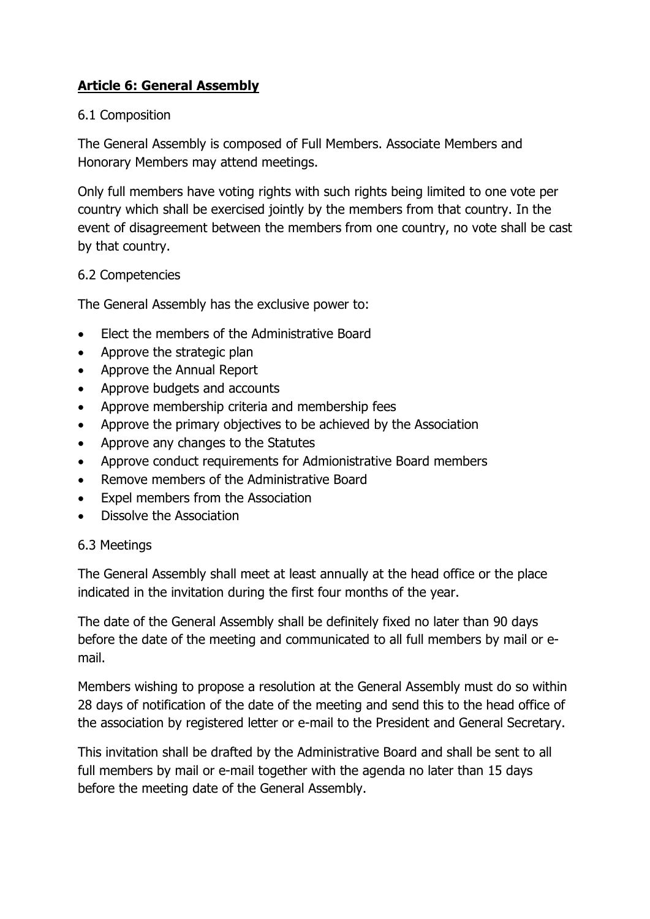# **Article 6: General Assembly**

#### 6.1 Composition

The General Assembly is composed of Full Members. Associate Members and Honorary Members may attend meetings.

Only full members have voting rights with such rights being limited to one vote per country which shall be exercised jointly by the members from that country. In the event of disagreement between the members from one country, no vote shall be cast by that country.

#### 6.2 Competencies

The General Assembly has the exclusive power to:

- Elect the members of the Administrative Board
- Approve the strategic plan
- Approve the Annual Report
- Approve budgets and accounts
- Approve membership criteria and membership fees
- Approve the primary objectives to be achieved by the Association
- Approve any changes to the Statutes
- Approve conduct requirements for Admionistrative Board members
- Remove members of the Administrative Board
- Expel members from the Association
- Dissolve the Association

#### 6.3 Meetings

The General Assembly shall meet at least annually at the head office or the place indicated in the invitation during the first four months of the year.

The date of the General Assembly shall be definitely fixed no later than 90 days before the date of the meeting and communicated to all full members by mail or email.

Members wishing to propose a resolution at the General Assembly must do so within 28 days of notification of the date of the meeting and send this to the head office of the association by registered letter or e-mail to the President and General Secretary.

This invitation shall be drafted by the Administrative Board and shall be sent to all full members by mail or e-mail together with the agenda no later than 15 days before the meeting date of the General Assembly.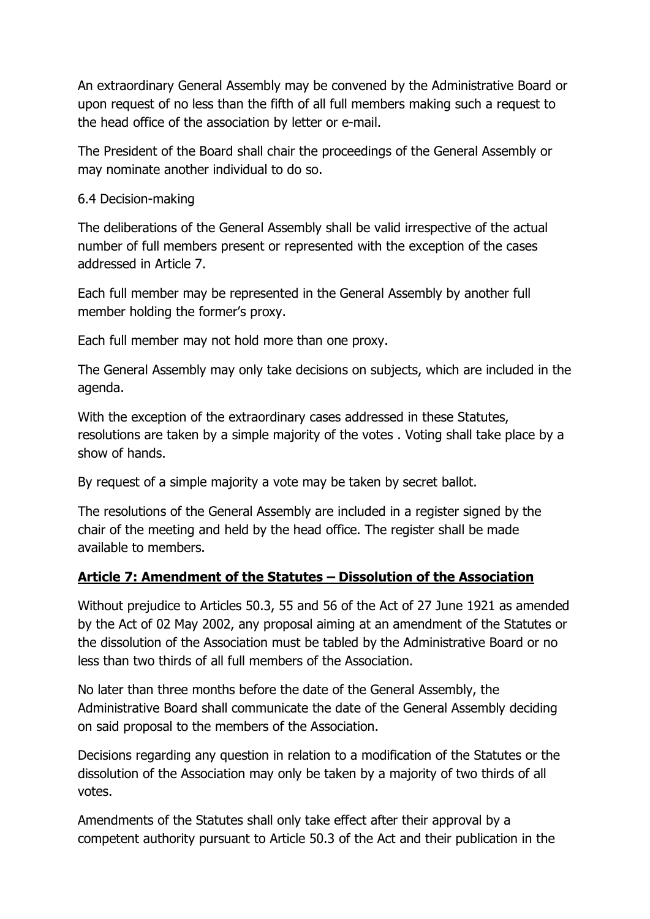An extraordinary General Assembly may be convened by the Administrative Board or upon request of no less than the fifth of all full members making such a request to the head office of the association by letter or e-mail.

The President of the Board shall chair the proceedings of the General Assembly or may nominate another individual to do so.

## 6.4 Decision-making

The deliberations of the General Assembly shall be valid irrespective of the actual number of full members present or represented with the exception of the cases addressed in Article 7.

Each full member may be represented in the General Assembly by another full member holding the former's proxy.

Each full member may not hold more than one proxy.

The General Assembly may only take decisions on subjects, which are included in the agenda.

With the exception of the extraordinary cases addressed in these Statutes, resolutions are taken by a simple majority of the votes . Voting shall take place by a show of hands.

By request of a simple majority a vote may be taken by secret ballot.

The resolutions of the General Assembly are included in a register signed by the chair of the meeting and held by the head office. The register shall be made available to members.

## **Article 7: Amendment of the Statutes – Dissolution of the Association**

Without prejudice to Articles 50.3, 55 and 56 of the Act of 27 June 1921 as amended by the Act of 02 May 2002, any proposal aiming at an amendment of the Statutes or the dissolution of the Association must be tabled by the Administrative Board or no less than two thirds of all full members of the Association.

No later than three months before the date of the General Assembly, the Administrative Board shall communicate the date of the General Assembly deciding on said proposal to the members of the Association.

Decisions regarding any question in relation to a modification of the Statutes or the dissolution of the Association may only be taken by a majority of two thirds of all votes.

Amendments of the Statutes shall only take effect after their approval by a competent authority pursuant to Article 50.3 of the Act and their publication in the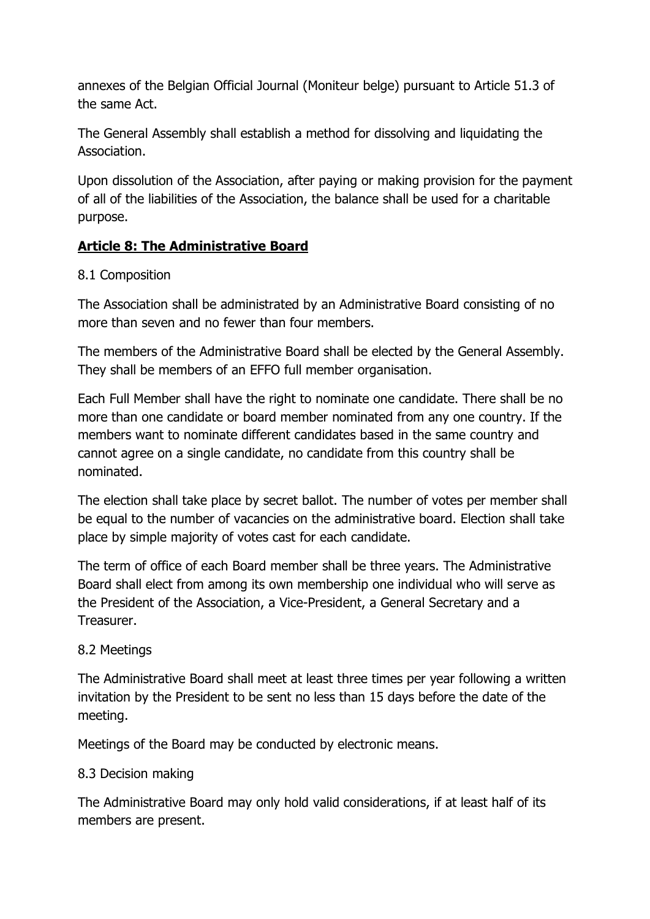annexes of the Belgian Official Journal (Moniteur belge) pursuant to Article 51.3 of the same Act.

The General Assembly shall establish a method for dissolving and liquidating the Association.

Upon dissolution of the Association, after paying or making provision for the payment of all of the liabilities of the Association, the balance shall be used for a charitable purpose.

# **Article 8: The Administrative Board**

## 8.1 Composition

The Association shall be administrated by an Administrative Board consisting of no more than seven and no fewer than four members.

The members of the Administrative Board shall be elected by the General Assembly. They shall be members of an EFFO full member organisation.

Each Full Member shall have the right to nominate one candidate. There shall be no more than one candidate or board member nominated from any one country. If the members want to nominate different candidates based in the same country and cannot agree on a single candidate, no candidate from this country shall be nominated.

The election shall take place by secret ballot. The number of votes per member shall be equal to the number of vacancies on the administrative board. Election shall take place by simple majority of votes cast for each candidate.

The term of office of each Board member shall be three years. The Administrative Board shall elect from among its own membership one individual who will serve as the President of the Association, a Vice-President, a General Secretary and a Treasurer.

#### 8.2 Meetings

The Administrative Board shall meet at least three times per year following a written invitation by the President to be sent no less than 15 days before the date of the meeting.

Meetings of the Board may be conducted by electronic means.

#### 8.3 Decision making

The Administrative Board may only hold valid considerations, if at least half of its members are present.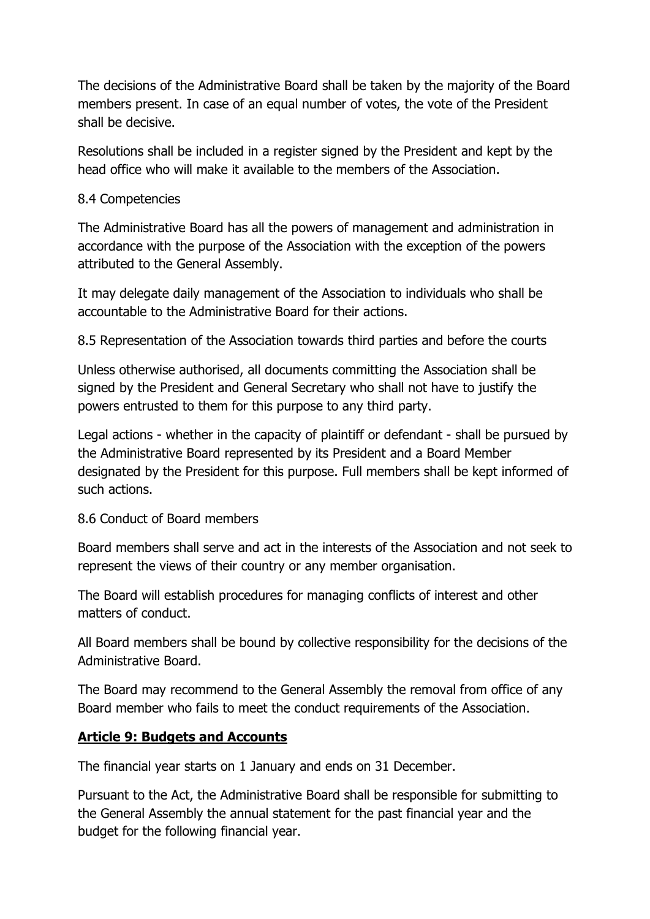The decisions of the Administrative Board shall be taken by the majority of the Board members present. In case of an equal number of votes, the vote of the President shall be decisive.

Resolutions shall be included in a register signed by the President and kept by the head office who will make it available to the members of the Association.

#### 8.4 Competencies

The Administrative Board has all the powers of management and administration in accordance with the purpose of the Association with the exception of the powers attributed to the General Assembly.

It may delegate daily management of the Association to individuals who shall be accountable to the Administrative Board for their actions.

8.5 Representation of the Association towards third parties and before the courts

Unless otherwise authorised, all documents committing the Association shall be signed by the President and General Secretary who shall not have to justify the powers entrusted to them for this purpose to any third party.

Legal actions - whether in the capacity of plaintiff or defendant - shall be pursued by the Administrative Board represented by its President and a Board Member designated by the President for this purpose. Full members shall be kept informed of such actions.

## 8.6 Conduct of Board members

Board members shall serve and act in the interests of the Association and not seek to represent the views of their country or any member organisation.

The Board will establish procedures for managing conflicts of interest and other matters of conduct.

All Board members shall be bound by collective responsibility for the decisions of the Administrative Board.

The Board may recommend to the General Assembly the removal from office of any Board member who fails to meet the conduct requirements of the Association.

## **Article 9: Budgets and Accounts**

The financial year starts on 1 January and ends on 31 December.

Pursuant to the Act, the Administrative Board shall be responsible for submitting to the General Assembly the annual statement for the past financial year and the budget for the following financial year.